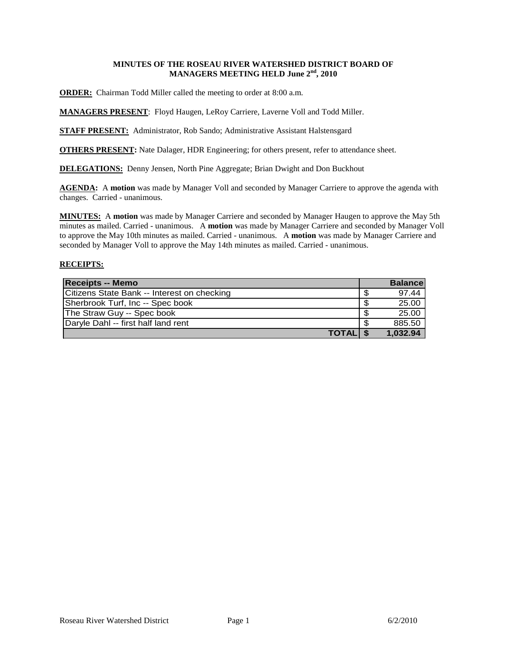# **MINUTES OF THE ROSEAU RIVER WATERSHED DISTRICT BOARD OF MANAGERS MEETING HELD June 2nd, 2010**

**ORDER:** Chairman Todd Miller called the meeting to order at 8:00 a.m.

**MANAGERS PRESENT**: Floyd Haugen, LeRoy Carriere, Laverne Voll and Todd Miller.

**STAFF PRESENT:** Administrator, Rob Sando; Administrative Assistant Halstensgard

**OTHERS PRESENT:** Nate Dalager, HDR Engineering; for others present, refer to attendance sheet.

**DELEGATIONS:** Denny Jensen, North Pine Aggregate; Brian Dwight and Don Buckhout

AGENDA: A motion was made by Manager Voll and seconded by Manager Carriere to approve the agenda with changes. Carried - unanimous.

**MINUTES:** A **motion** was made by Manager Carriere and seconded by Manager Haugen to approve the May 5th minutes as mailed. Carried - unanimous. A **motion** was made by Manager Carriere and seconded by Manager Voll to approve the May 10th minutes as mailed. Carried - unanimous. A **motion** was made by Manager Carriere and seconded by Manager Voll to approve the May 14th minutes as mailed. Carried - unanimous.

# **RECEIPTS:**

| <b>Receipts -- Memo</b>                     |      | <b>Balance</b> |
|---------------------------------------------|------|----------------|
| Citizens State Bank -- Interest on checking | -S   | 97.44          |
| Sherbrook Turf, Inc -- Spec book            | -\$  | 25.00          |
| The Straw Guy -- Spec book                  | -S   | 25.00          |
| Daryle Dahl -- first half land rent         | - \$ | 885.50         |
| <b>TOTAL</b> \$                             |      | 1,032.94       |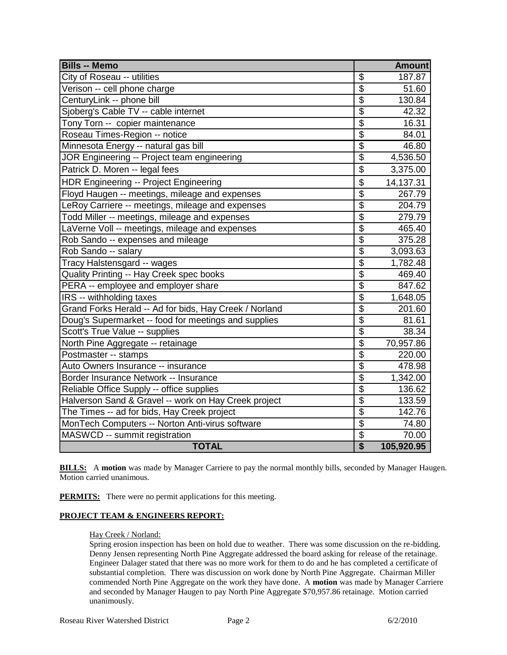| <b>Bills -- Memo</b>                                   |                          | <b>Amount</b> |
|--------------------------------------------------------|--------------------------|---------------|
| City of Roseau -- utilities                            | \$                       | 187.87        |
| Verison -- cell phone charge                           | $\overline{\$}$          | 51.60         |
| CenturyLink -- phone bill                              | $\overline{\mathbb{S}}$  | 130.84        |
| Sjoberg's Cable TV -- cable internet                   | $\overline{\$}$          | 42.32         |
| Tony Torn -- copier maintenance                        | $\overline{\$}$          | 16.31         |
| Roseau Times-Region -- notice                          | $\overline{\$}$          | 84.01         |
| Minnesota Energy -- natural gas bill                   | $\overline{\$}$          | 46.80         |
| JOR Engineering -- Project team engineering            | $\overline{\$}$          | 4,536.50      |
| Patrick D. Moren -- legal fees                         | \$                       | 3,375.00      |
| HDR Engineering -- Project Engineering                 | \$                       | 14,137.31     |
| Floyd Haugen -- meetings, mileage and expenses         | \$                       | 267.79        |
| LeRoy Carriere -- meetings, mileage and expenses       | $\overline{\mathcal{S}}$ | 204.79        |
| Todd Miller -- meetings, mileage and expenses          | $\overline{\$}$          | 279.79        |
| LaVerne Voll -- meetings, mileage and expenses         | $\overline{\mathcal{S}}$ | 465.40        |
| Rob Sando -- expenses and mileage                      | \$                       | 375.28        |
| Rob Sando -- salary                                    | $\overline{\mathcal{S}}$ | 3,093.63      |
| Tracy Halstensgard -- wages                            | $\overline{\mathcal{S}}$ | 1,782.48      |
| Quality Printing -- Hay Creek spec books               | $\overline{\$}$          | 469.40        |
| PERA -- employee and employer share                    | $\overline{\$}$          | 847.62        |
| IRS -- withholding taxes                               | $\overline{\mathcal{S}}$ | 1,648.05      |
| Grand Forks Herald -- Ad for bids, Hay Creek / Norland | $\overline{\mathcal{S}}$ | 201.60        |
| Doug's Supermarket -- food for meetings and supplies   | $\overline{\mathcal{S}}$ | 81.61         |
| Scott's True Value -- supplies                         | $\overline{\$}$          | 38.34         |
| North Pine Aggregate -- retainage                      | $\overline{\$}$          | 70,957.86     |
| Postmaster -- stamps                                   | $\overline{\$}$          | 220.00        |
| Auto Owners Insurance -- insurance                     | $\overline{\mathcal{S}}$ | 478.98        |
| Border Insurance Network -- Insurance                  | $\overline{\$}$          | 1,342.00      |
| Reliable Office Supply -- office supplies              | $\overline{\$}$          | 136.62        |
| Halverson Sand & Gravel -- work on Hay Creek project   | $\overline{\$}$          | 133.59        |
| The Times -- ad for bids, Hay Creek project            | $\overline{\mathcal{S}}$ | 142.76        |
| MonTech Computers -- Norton Anti-virus software        | \$                       | 74.80         |
| MASWCD -- summit registration                          | $\overline{\mathcal{S}}$ | 70.00         |
| <b>TOTAL</b>                                           | $\overline{\mathbf{S}}$  | 105,920.95    |

**BILLS:** A **motion** was made by Manager Carriere to pay the normal monthly bills, seconded by Manager Haugen. Motion carried unanimous.

**PERMITS:** There were no permit applications for this meeting.

### **PROJECT TEAM & ENGINEERS REPORT:**

#### Hay Creek / Norland:

Spring erosion inspection has been on hold due to weather. There was some discussion on the re-bidding. Denny Jensen representing North Pine Aggregate addressed the board asking for release of the retainage. Engineer Dalager stated that there was no more work for them to do and he has completed a certificate of substantial completion. There was discussion on work done by North Pine Aggregate. Chairman Miller commended North Pine Aggregate on the work they have done. A **motion** was made by Manager Carriere and seconded by Manager Haugen to pay North Pine Aggregate \$70,957.86 retainage. Motion carried unanimously.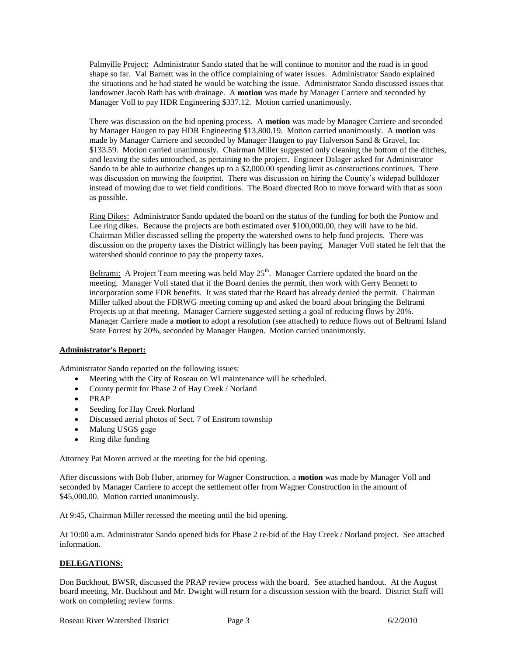Palmville Project: Administrator Sando stated that he will continue to monitor and the road is in good shape so far. Val Barnett was in the office complaining of water issues. Administrator Sando explained the situations and he had stated he would be watching the issue. Administrator Sando discussed issues that landowner Jacob Rath has with drainage. A **motion** was made by Manager Carriere and seconded by Manager Voll to pay HDR Engineering \$337.12. Motion carried unanimously.

There was discussion on the bid opening process. A **motion** was made by Manager Carriere and seconded by Manager Haugen to pay HDR Engineering \$13,800.19. Motion carried unanimously. A **motion** was made by Manager Carriere and seconded by Manager Haugen to pay Halverson Sand & Gravel, Inc \$133.59. Motion carried unanimously. Chairman Miller suggested only cleaning the bottom of the ditches, and leaving the sides untouched, as pertaining to the project. Engineer Dalager asked for Administrator Sando to be able to authorize changes up to a \$2,000.00 spending limit as constructions continues. There was discussion on mowing the footprint. There was discussion on hiring the County's widepad bulldozer instead of mowing due to wet field conditions. The Board directed Rob to move forward with that as soon as possible.

Ring Dikes: Administrator Sando updated the board on the status of the funding for both the Pontow and Lee ring dikes. Because the projects are both estimated over \$100,000.00, they will have to be bid. Chairman Miller discussed selling the property the watershed owns to help fund projects. There was discussion on the property taxes the District willingly has been paying. Manager Voll stated he felt that the watershed should continue to pay the property taxes.

Beltrami: A Project Team meeting was held May  $25<sup>th</sup>$ . Manager Carriere updated the board on the meeting. Manager Voll stated that if the Board denies the permit, then work with Gerry Bennett to incorporation some FDR benefits. It was stated that the Board has already denied the permit. Chairman Miller talked about the FDRWG meeting coming up and asked the board about bringing the Beltrami Projects up at that meeting. Manager Carriere suggested setting a goal of reducing flows by 20%. Manager Carriere made a **motion** to adopt a resolution (see attached) to reduce flows out of Beltrami Island State Forrest by 20%, seconded by Manager Haugen. Motion carried unanimously.

### **Administrator's Report:**

Administrator Sando reported on the following issues:

- Meeting with the City of Roseau on WI maintenance will be scheduled.
- County permit for Phase 2 of Hay Creek / Norland
- PRAP
- Seeding for Hay Creek Norland
- Discussed aerial photos of Sect. 7 of Enstrom township
- Malung USGS gage
- Ring dike funding

Attorney Pat Moren arrived at the meeting for the bid opening.

After discussions with Bob Huber, attorney for Wagner Construction, a **motion** was made by Manager Voll and seconded by Manager Carriere to accept the settlement offer from Wagner Construction in the amount of \$45,000.00. Motion carried unanimously.

At 9:45, Chairman Miller recessed the meeting until the bid opening.

At 10:00 a.m. Administrator Sando opened bids for Phase 2 re-bid of the Hay Creek / Norland project. See attached information.

#### **DELEGATIONS:**

Don Buckhout, BWSR, discussed the PRAP review process with the board. See attached handout. At the August board meeting, Mr. Buckhout and Mr. Dwight will return for a discussion session with the board. District Staff will work on completing review forms.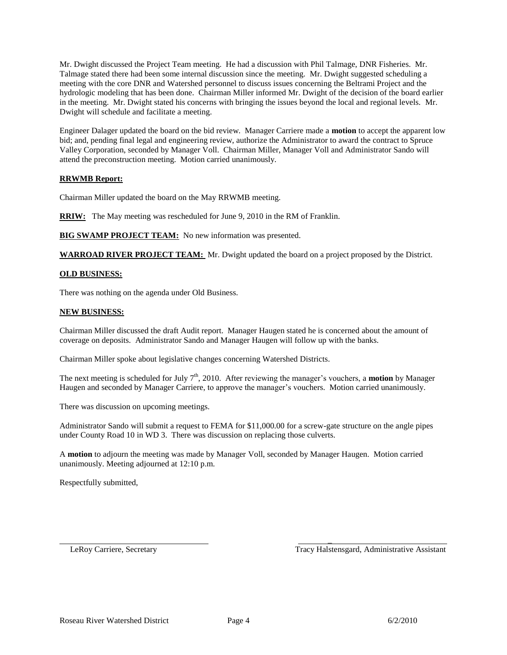Mr. Dwight discussed the Project Team meeting. He had a discussion with Phil Talmage, DNR Fisheries. Mr. Talmage stated there had been some internal discussion since the meeting. Mr. Dwight suggested scheduling a meeting with the core DNR and Watershed personnel to discuss issues concerning the Beltrami Project and the hydrologic modeling that has been done. Chairman Miller informed Mr. Dwight of the decision of the board earlier in the meeting. Mr. Dwight stated his concerns with bringing the issues beyond the local and regional levels. Mr. Dwight will schedule and facilitate a meeting.

Engineer Dalager updated the board on the bid review. Manager Carriere made a **motion** to accept the apparent low bid; and, pending final legal and engineering review, authorize the Administrator to award the contract to Spruce Valley Corporation, seconded by Manager Voll. Chairman Miller, Manager Voll and Administrator Sando will attend the preconstruction meeting. Motion carried unanimously.

### **RRWMB Report:**

Chairman Miller updated the board on the May RRWMB meeting.

**RRIW:** The May meeting was rescheduled for June 9, 2010 in the RM of Franklin.

**BIG SWAMP PROJECT TEAM:** No new information was presented.

**WARROAD RIVER PROJECT TEAM:** Mr. Dwight updated the board on a project proposed by the District.

#### **OLD BUSINESS:**

There was nothing on the agenda under Old Business.

#### **NEW BUSINESS:**

Chairman Miller discussed the draft Audit report. Manager Haugen stated he is concerned about the amount of coverage on deposits. Administrator Sando and Manager Haugen will follow up with the banks.

Chairman Miller spoke about legislative changes concerning Watershed Districts.

The next meeting is scheduled for July  $7<sup>th</sup>$ , 2010. After reviewing the manager's vouchers, a **motion** by Manager Haugen and seconded by Manager Carriere, to approve the manager's vouchers. Motion carried unanimously.

There was discussion on upcoming meetings.

Administrator Sando will submit a request to FEMA for \$11,000.00 for a screw-gate structure on the angle pipes under County Road 10 in WD 3. There was discussion on replacing those culverts.

A **motion** to adjourn the meeting was made by Manager Voll, seconded by Manager Haugen. Motion carried unanimously. Meeting adjourned at 12:10 p.m.

Respectfully submitted,

LeRoy Carriere, Secretary Tracy Halstensgard, Administrative Assistant

 $\overline{a}$